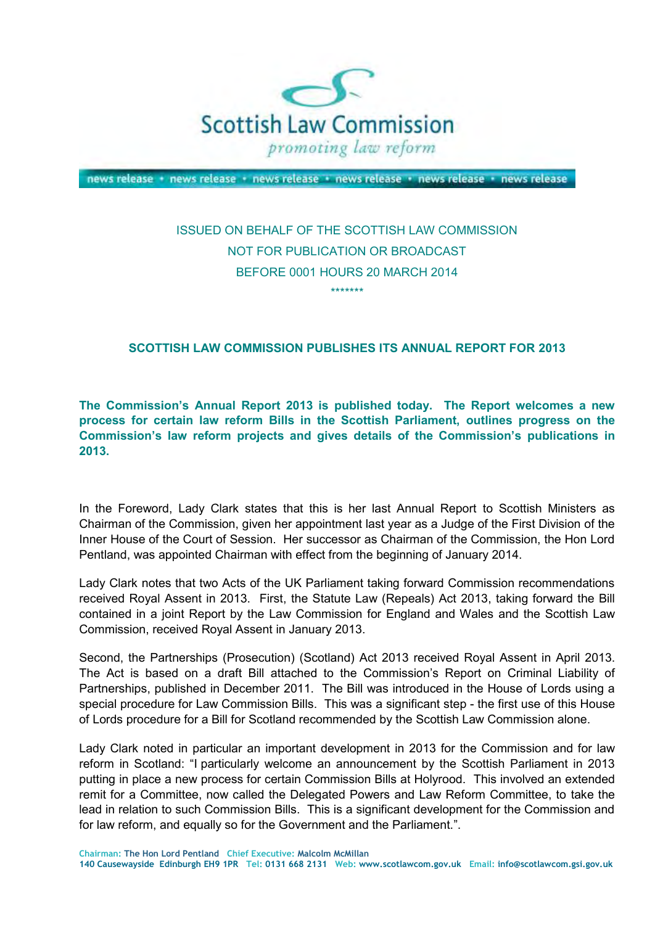

news release + news release + news release + news release + news release + news release

# ISSUED ON BEHALF OF THE SCOTTISH LAW COMMISSION NOT FOR PUBLICATION OR BROADCAST BEFORE 0001 HOURS 20 MARCH 2014 \*\*\*\*\*\*\*

## **SCOTTISH LAW COMMISSION PUBLISHES ITS ANNUAL REPORT FOR 2013**

 **The Commission's Annual Report 2013 is published today. The Report welcomes a new process for certain law reform Bills in the Scottish Parliament, outlines progress on the Commission's law reform projects and gives details of the Commission's publications in 2013.** 

 In the Foreword, Lady Clark states that this is her last Annual Report to Scottish Ministers as Chairman of the Commission, given her appointment last year as a Judge of the First Division of the Inner House of the Court of Session. Her successor as Chairman of the Commission, the Hon Lord Pentland, was appointed Chairman with effect from the beginning of January 2014.

 Lady Clark notes that two Acts of the UK Parliament taking forward Commission recommendations received Royal Assent in 2013. First, the Statute Law (Repeals) Act 2013, taking forward the Bill contained in a joint Report by the Law Commission for England and Wales and the Scottish Law Commission, received Royal Assent in January 2013.

 Second, the Partnerships (Prosecution) (Scotland) Act 2013 received Royal Assent in April 2013. The Act is based on a draft Bill attached to the Commission's Report on Criminal Liability of Partnerships, published in December 2011. The Bill was introduced in the House of Lords using a special procedure for Law Commission Bills. This was a significant step - the first use of this House of Lords procedure for a Bill for Scotland recommended by the Scottish Law Commission alone.

 Lady Clark noted in particular an important development in 2013 for the Commission and for law reform in Scotland: "I particularly welcome an announcement by the Scottish Parliament in 2013 putting in place a new process for certain Commission Bills at Holyrood. This involved an extended remit for a Committee, now called the Delegated Powers and Law Reform Committee, to take the lead in relation to such Commission Bills. This is a significant development for the Commission and for law reform, and equally so for the Government and the Parliament.".

 **140 Causewayside Edinburgh EH9 1PR Tel: 0131 668 2131 Web: www.scotlawcom.gov.uk Email: info@scotlawcom.gsi.gov.uk Chairman: The Hon Lord Pentland Chief Executive: Malcolm McMillan**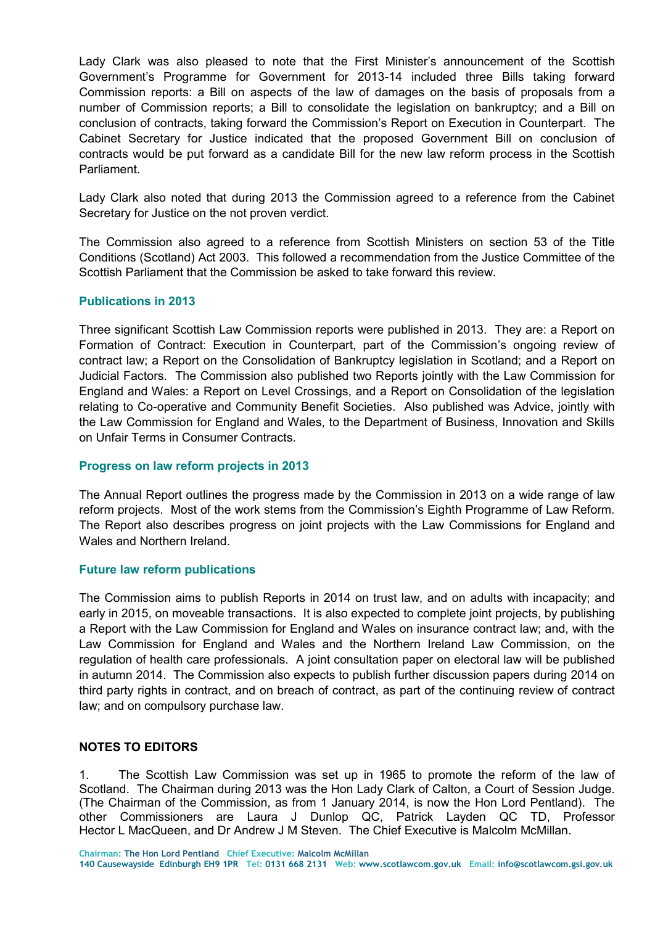Lady Clark was also pleased to note that the First Minister's announcement of the Scottish Government's Programme for Government for 2013-14 included three Bills taking forward Commission reports: a Bill on aspects of the law of damages on the basis of proposals from a number of Commission reports; a Bill to consolidate the legislation on bankruptcy; and a Bill on conclusion of contracts, taking forward the Commission's Report on Execution in Counterpart. The Cabinet Secretary for Justice indicated that the proposed Government Bill on conclusion of contracts would be put forward as a candidate Bill for the new law reform process in the Scottish Parliament.

 Lady Clark also noted that during 2013 the Commission agreed to a reference from the Cabinet Secretary for Justice on the not proven verdict.

 The Commission also agreed to a reference from Scottish Ministers on section 53 of the Title Conditions (Scotland) Act 2003. This followed a recommendation from the Justice Committee of the Scottish Parliament that the Commission be asked to take forward this review.

## **Publications in 2013**

 Three significant Scottish Law Commission reports were published in 2013. They are: a Report on Formation of Contract: Execution in Counterpart, part of the Commission's ongoing review of contract law; a Report on the Consolidation of Bankruptcy legislation in Scotland; and a Report on Judicial Factors. The Commission also published two Reports jointly with the Law Commission for England and Wales: a Report on Level Crossings, and a Report on Consolidation of the legislation relating to Co-operative and Community Benefit Societies. Also published was Advice, jointly with the Law Commission for England and Wales, to the Department of Business, Innovation and Skills on Unfair Terms in Consumer Contracts.

#### **Progress on law reform projects in 2013**

 The Annual Report outlines the progress made by the Commission in 2013 on a wide range of law reform projects. Most of the work stems from the Commission's Eighth Programme of Law Reform. The Report also describes progress on joint projects with the Law Commissions for England and Wales and Northern Ireland.

#### **Future law reform publications**

 The Commission aims to publish Reports in 2014 on trust law, and on adults with incapacity; and early in 2015, on moveable transactions. It is also expected to complete joint projects, by publishing a Report with the Law Commission for England and Wales on insurance contract law; and, with the Law Commission for England and Wales and the Northern Ireland Law Commission, on the regulation of health care professionals. A joint consultation paper on electoral law will be published in autumn 2014. The Commission also expects to publish further discussion papers during 2014 on third party rights in contract, and on breach of contract, as part of the continuing review of contract law; and on compulsory purchase law.

### **NOTES TO EDITORS**

 $1<sub>1</sub>$  Scotland. The Chairman during 2013 was the Hon Lady Clark of Calton, a Court of Session Judge. (The Chairman of the Commission, as from 1 January 2014, is now the Hon Lord Pentland). The other Commissioners are Laura J Dunlop QC, Patrick Layden QC TD, Professor Hector L MacQueen, and Dr Andrew J M Steven. The Chief Executive is Malcolm McMillan. The Scottish Law Commission was set up in 1965 to promote the reform of the law of